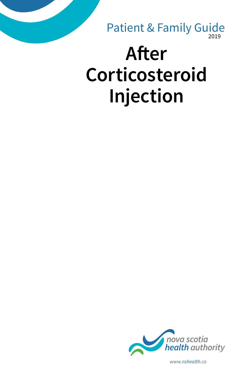2019 Patient & Family Guide

# **After Corticosteroid Injection**



*www.nshealth.ca*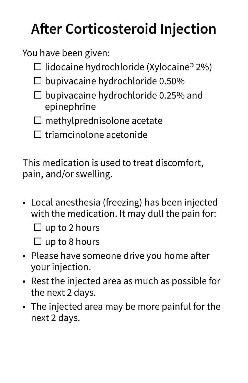## **After Corticosteroid Injection**

You have been given:

- $\Box$  lidocaine hydrochloride (Xylocaine® 2%)
- $\square$  bupivacaine hydrochloride 0.50%
- $\square$  bupivacaine hydrochloride 0.25% and epinephrine
- $\square$  methylprednisolone acetate
- $\square$  triamcinolone acetonide

This medication is used to treat discomfort, pain, and/or swelling.

• Local anesthesia (freezing) has been injected with the medication. It may dull the pain for:

 $\Box$  up to 2 hours

 $\Box$  up to 8 hours

- Please have someone drive you home after your injection.
- Rest the injected area as much as possible for the next 2 days.
- The injected area may be more painful for the next 2 days.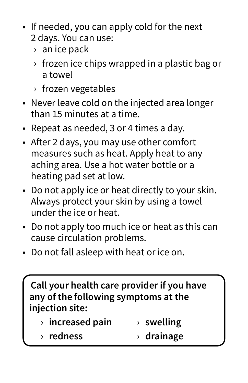- If needed, you can apply cold for the next 2 days. You can use:
	- › an ice pack
	- › frozen ice chips wrapped in a plastic bag or a towel
	- › frozen vegetables
- Never leave cold on the injected area longer than 15 minutes at a time.
- Repeat as needed, 3 or 4 times a day.
- After 2 days, you may use other comfort measures such as heat. Apply heat to any aching area. Use a hot water bottle or a heating pad set at low.
- Do not apply ice or heat directly to your skin. Always protect your skin by using a towel under the ice or heat.
- Do not apply too much ice or heat as this can cause circulation problems.
- Do not fall asleep with heat or ice on.

**Call your health care provider if you have any of the following symptoms at the injection site:**

|  | $\rightarrow$ increased pain |  | $\rightarrow$ swelling |
|--|------------------------------|--|------------------------|
|--|------------------------------|--|------------------------|

› **redness** › **drainage**